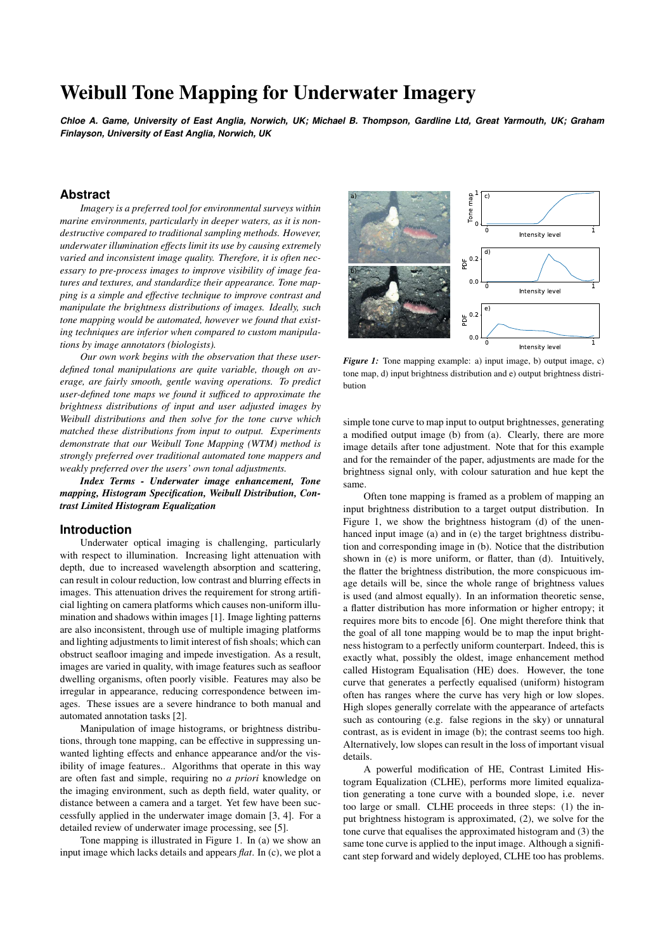# Weibull Tone Mapping for Underwater Imagery

*Chloe A. Game, University of East Anglia, Norwich, UK; Michael B. Thompson, Gardline Ltd, Great Yarmouth, UK; Graham Finlayson, University of East Anglia, Norwich, UK*

# **Abstract**

*Imagery is a preferred tool for environmental surveys within marine environments, particularly in deeper waters, as it is nondestructive compared to traditional sampling methods. However, underwater illumination effects limit its use by causing extremely varied and inconsistent image quality. Therefore, it is often necessary to pre-process images to improve visibility of image features and textures, and standardize their appearance. Tone mapping is a simple and effective technique to improve contrast and manipulate the brightness distributions of images. Ideally, such tone mapping would be automated, however we found that existing techniques are inferior when compared to custom manipulations by image annotators (biologists).*

*Our own work begins with the observation that these userdefined tonal manipulations are quite variable, though on average, are fairly smooth, gentle waving operations. To predict user-defined tone maps we found it sufficed to approximate the brightness distributions of input and user adjusted images by Weibull distributions and then solve for the tone curve which matched these distributions from input to output. Experiments demonstrate that our Weibull Tone Mapping (WTM) method is strongly preferred over traditional automated tone mappers and weakly preferred over the users' own tonal adjustments.*

*Index Terms - Underwater image enhancement, Tone mapping, Histogram Specification, Weibull Distribution, Contrast Limited Histogram Equalization*

## **Introduction**

Underwater optical imaging is challenging, particularly with respect to illumination. Increasing light attenuation with depth, due to increased wavelength absorption and scattering, can result in colour reduction, low contrast and blurring effects in images. This attenuation drives the requirement for strong artificial lighting on camera platforms which causes non-uniform illumination and shadows within images [1]. Image lighting patterns are also inconsistent, through use of multiple imaging platforms and lighting adjustments to limit interest of fish shoals; which can obstruct seafloor imaging and impede investigation. As a result, images are varied in quality, with image features such as seafloor dwelling organisms, often poorly visible. Features may also be irregular in appearance, reducing correspondence between images. These issues are a severe hindrance to both manual and automated annotation tasks [2].

Manipulation of image histograms, or brightness distributions, through tone mapping, can be effective in suppressing unwanted lighting effects and enhance appearance and/or the visibility of image features.. Algorithms that operate in this way are often fast and simple, requiring no *a priori* knowledge on the imaging environment, such as depth field, water quality, or distance between a camera and a target. Yet few have been successfully applied in the underwater image domain [3, 4]. For a detailed review of underwater image processing, see [5].

Tone mapping is illustrated in Figure 1. In (a) we show an input image which lacks details and appears *flat*. In (c), we plot a



*Figure 1:* Tone mapping example: a) input image, b) output image, c) tone map, d) input brightness distribution and e) output brightness distribution

simple tone curve to map input to output brightnesses, generating a modified output image (b) from (a). Clearly, there are more image details after tone adjustment. Note that for this example and for the remainder of the paper, adjustments are made for the brightness signal only, with colour saturation and hue kept the same.

Often tone mapping is framed as a problem of mapping an input brightness distribution to a target output distribution. In Figure 1, we show the brightness histogram (d) of the unenhanced input image (a) and in (e) the target brightness distribution and corresponding image in (b). Notice that the distribution shown in (e) is more uniform, or flatter, than (d). Intuitively, the flatter the brightness distribution, the more conspicuous image details will be, since the whole range of brightness values is used (and almost equally). In an information theoretic sense, a flatter distribution has more information or higher entropy; it requires more bits to encode [6]. One might therefore think that the goal of all tone mapping would be to map the input brightness histogram to a perfectly uniform counterpart. Indeed, this is exactly what, possibly the oldest, image enhancement method called Histogram Equalisation (HE) does. However, the tone curve that generates a perfectly equalised (uniform) histogram often has ranges where the curve has very high or low slopes. High slopes generally correlate with the appearance of artefacts such as contouring (e.g. false regions in the sky) or unnatural contrast, as is evident in image (b); the contrast seems too high. Alternatively, low slopes can result in the loss of important visual details.

A powerful modification of HE, Contrast Limited Histogram Equalization (CLHE), performs more limited equalization generating a tone curve with a bounded slope, i.e. never too large or small. CLHE proceeds in three steps: (1) the input brightness histogram is approximated, (2), we solve for the tone curve that equalises the approximated histogram and (3) the same tone curve is applied to the input image. Although a significant step forward and widely deployed, CLHE too has problems.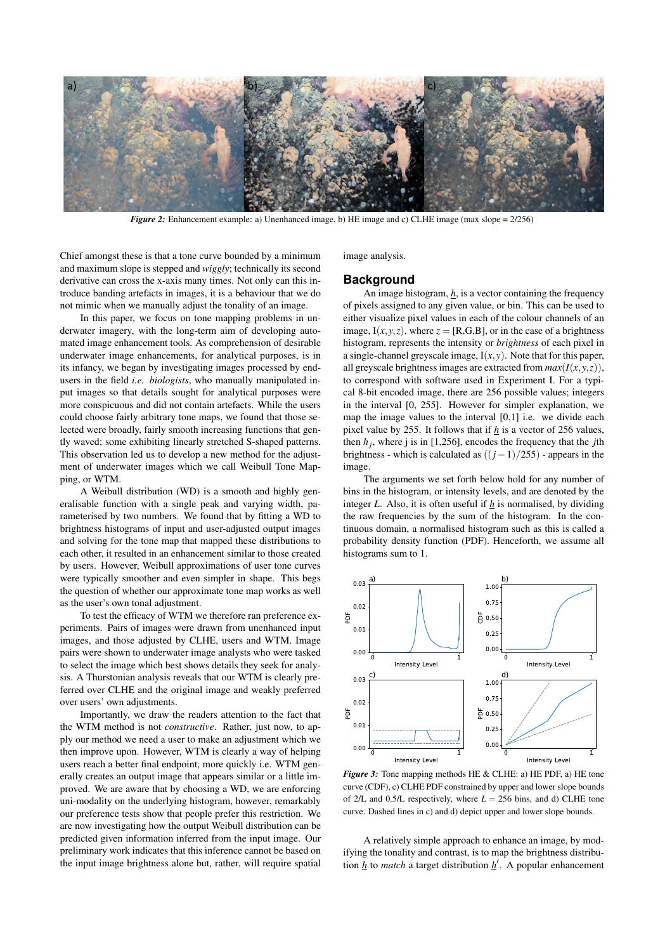

*Figure 2:* Enhancement example: a) Unenhanced image, b) HE image and c) CLHE image (max slope = 2/256)

Chief amongst these is that a tone curve bounded by a minimum and maximum slope is stepped and *wiggly*; technically its second derivative can cross the x-axis many times. Not only can this introduce banding artefacts in images, it is a behaviour that we do not mimic when we manually adjust the tonality of an image.

In this paper, we focus on tone mapping problems in underwater imagery, with the long-term aim of developing automated image enhancement tools. As comprehension of desirable underwater image enhancements, for analytical purposes, is in its infancy, we began by investigating images processed by endusers in the field *i.e. biologists*, who manually manipulated input images so that details sought for analytical purposes were more conspicuous and did not contain artefacts. While the users could choose fairly arbitrary tone maps, we found that those selected were broadly, fairly smooth increasing functions that gently waved; some exhibiting linearly stretched S-shaped patterns. This observation led us to develop a new method for the adjustment of underwater images which we call Weibull Tone Mapping, or WTM.

A Weibull distribution (WD) is a smooth and highly generalisable function with a single peak and varying width, parameterised by two numbers. We found that by fitting a WD to brightness histograms of input and user-adjusted output images and solving for the tone map that mapped these distributions to each other, it resulted in an enhancement similar to those created by users. However, Weibull approximations of user tone curves were typically smoother and even simpler in shape. This begs the question of whether our approximate tone map works as well as the user's own tonal adjustment.

To test the efficacy of WTM we therefore ran preference experiments. Pairs of images were drawn from unenhanced input images, and those adjusted by CLHE, users and WTM. Image pairs were shown to underwater image analysts who were tasked to select the image which best shows details they seek for analysis. A Thurstonian analysis reveals that our WTM is clearly preferred over CLHE and the original image and weakly preferred over users' own adjustments.

Importantly, we draw the readers attention to the fact that the WTM method is not *constructive*. Rather, just now, to apply our method we need a user to make an adjustment which we then improve upon. However, WTM is clearly a way of helping users reach a better final endpoint, more quickly i.e. WTM generally creates an output image that appears similar or a little improved. We are aware that by choosing a WD, we are enforcing uni-modality on the underlying histogram, however, remarkably our preference tests show that people prefer this restriction. We are now investigating how the output Weibull distribution can be predicted given information inferred from the input image. Our preliminary work indicates that this inference cannot be based on the input image brightness alone but, rather, will require spatial image analysis.

#### **Background**

An image histogram,  $h$ , is a vector containing the frequency of pixels assigned to any given value, or bin. This can be used to either visualize pixel values in each of the colour channels of an image,  $I(x, y, z)$ , where  $z = [R, G, B]$ , or in the case of a brightness histogram, represents the intensity or *brightness* of each pixel in a single-channel greyscale image,  $I(x, y)$ . Note that for this paper, all greyscale brightness images are extracted from  $max(I(x, y, z))$ , to correspond with software used in Experiment I. For a typical 8-bit encoded image, there are 256 possible values; integers in the interval [0, 255]. However for simpler explanation, we map the image values to the interval [0,1] i.e. we divide each pixel value by 255. It follows that if *h* is a vector of 256 values, then  $h_j$ , where j is in [1,256], encodes the frequency that the *j*th brightness - which is calculated as ((*j*−1)/255) - appears in the image.

The arguments we set forth below hold for any number of bins in the histogram, or intensity levels, and are denoted by the integer *L*. Also, it is often useful if *h* is normalised, by dividing the raw frequencies by the sum of the histogram. In the continuous domain, a normalised histogram such as this is called a probability density function (PDF). Henceforth, we assume all histograms sum to 1.



*Figure 3:* Tone mapping methods HE & CLHE: a) HE PDF, a) HE tone curve (CDF), c) CLHE PDF constrained by upper and lower slope bounds of 2/L and 0.5/L respectively, where  $L = 256$  bins, and d) CLHE tone curve. Dashed lines in c) and d) depict upper and lower slope bounds.

A relatively simple approach to enhance an image, by modifying the tonality and contrast, is to map the brightness distribution  $h$  to *match* a target distribution  $h'$ . A popular enhancement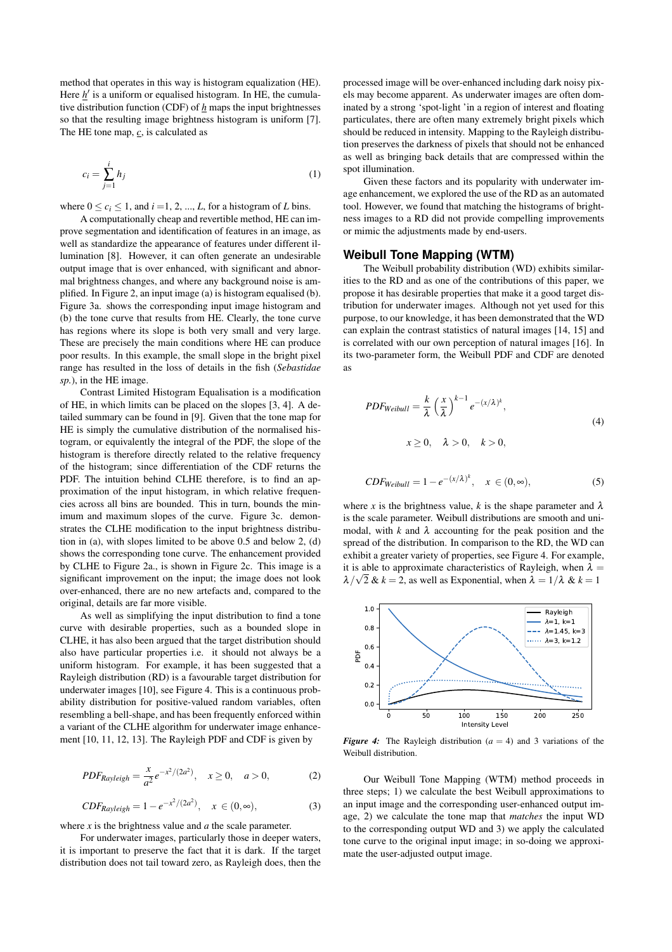method that operates in this way is histogram equalization (HE). Here  $h$ <sup>'</sup> is a uniform or equalised histogram. In HE, the cumulative distribution function (CDF) of *h* maps the input brightnesses so that the resulting image brightness histogram is uniform [7]. The HE tone map, *c*, is calculated as

$$
c_i = \sum_{j=1}^i h_j \tag{1}
$$

where  $0 \le c_i \le 1$ , and  $i = 1, 2, ..., L$ , for a histogram of *L* bins.

A computationally cheap and revertible method, HE can improve segmentation and identification of features in an image, as well as standardize the appearance of features under different illumination [8]. However, it can often generate an undesirable output image that is over enhanced, with significant and abnormal brightness changes, and where any background noise is amplified. In Figure 2, an input image (a) is histogram equalised (b). Figure 3a. shows the corresponding input image histogram and (b) the tone curve that results from HE. Clearly, the tone curve has regions where its slope is both very small and very large. These are precisely the main conditions where HE can produce poor results. In this example, the small slope in the bright pixel range has resulted in the loss of details in the fish (*Sebastidae sp.*), in the HE image.

Contrast Limited Histogram Equalisation is a modification of HE, in which limits can be placed on the slopes [3, 4]. A detailed summary can be found in [9]. Given that the tone map for HE is simply the cumulative distribution of the normalised histogram, or equivalently the integral of the PDF, the slope of the histogram is therefore directly related to the relative frequency of the histogram; since differentiation of the CDF returns the PDF. The intuition behind CLHE therefore, is to find an approximation of the input histogram, in which relative frequencies across all bins are bounded. This in turn, bounds the minimum and maximum slopes of the curve. Figure 3c. demonstrates the CLHE modification to the input brightness distribution in (a), with slopes limited to be above 0.5 and below 2, (d) shows the corresponding tone curve. The enhancement provided by CLHE to Figure 2a., is shown in Figure 2c. This image is a significant improvement on the input; the image does not look over-enhanced, there are no new artefacts and, compared to the original, details are far more visible.

As well as simplifying the input distribution to find a tone curve with desirable properties, such as a bounded slope in CLHE, it has also been argued that the target distribution should also have particular properties i.e. it should not always be a uniform histogram. For example, it has been suggested that a Rayleigh distribution (RD) is a favourable target distribution for underwater images [10], see Figure 4. This is a continuous probability distribution for positive-valued random variables, often resembling a bell-shape, and has been frequently enforced within a variant of the CLHE algorithm for underwater image enhancement [10, 11, 12, 13]. The Rayleigh PDF and CDF is given by

$$
PDF_{Rayleigh} = \frac{x}{a^2} e^{-x^2/(2a^2)}, \quad x \ge 0, \quad a > 0,
$$
 (2)

$$
CDF_{Rayleigh} = 1 - e^{-x^2/(2a^2)}, \quad x \in (0, \infty),
$$
 (3)

where *x* is the brightness value and *a* the scale parameter.

For underwater images, particularly those in deeper waters, it is important to preserve the fact that it is dark. If the target distribution does not tail toward zero, as Rayleigh does, then the processed image will be over-enhanced including dark noisy pixels may become apparent. As underwater images are often dominated by a strong 'spot-light 'in a region of interest and floating particulates, there are often many extremely bright pixels which should be reduced in intensity. Mapping to the Rayleigh distribution preserves the darkness of pixels that should not be enhanced as well as bringing back details that are compressed within the spot illumination.

Given these factors and its popularity with underwater image enhancement, we explored the use of the RD as an automated tool. However, we found that matching the histograms of brightness images to a RD did not provide compelling improvements or mimic the adjustments made by end-users.

## **Weibull Tone Mapping (WTM)**

The Weibull probability distribution (WD) exhibits similarities to the RD and as one of the contributions of this paper, we propose it has desirable properties that make it a good target distribution for underwater images. Although not yet used for this purpose, to our knowledge, it has been demonstrated that the WD can explain the contrast statistics of natural images [14, 15] and is correlated with our own perception of natural images [16]. In its two-parameter form, the Weibull PDF and CDF are denoted as

$$
PDF_{Weibull} = \frac{k}{\lambda} \left(\frac{x}{\lambda}\right)^{k-1} e^{-(x/\lambda)^k},
$$
  
 $x \ge 0, \quad \lambda > 0, \quad k > 0,$  (4)

$$
CDF_{Weibull} = 1 - e^{-(x/\lambda)^k}, \quad x \in (0, \infty), \tag{5}
$$

where *x* is the brightness value, *k* is the shape parameter and  $\lambda$ is the scale parameter. Weibull distributions are smooth and unimodal, with  $k$  and  $\lambda$  accounting for the peak position and the spread of the distribution. In comparison to the RD, the WD can exhibit a greater variety of properties, see Figure 4. For example, it is able to approximate characteristics of Rayleigh, when  $\lambda =$  $\lambda/\sqrt{2}$  &  $k = 2$ , as well as Exponential, when  $\lambda = 1/\lambda$  &  $k = 1$ 



*Figure 4:* The Rayleigh distribution ( $a = 4$ ) and 3 variations of the Weibull distribution.

Our Weibull Tone Mapping (WTM) method proceeds in three steps; 1) we calculate the best Weibull approximations to an input image and the corresponding user-enhanced output image, 2) we calculate the tone map that *matches* the input WD to the corresponding output WD and 3) we apply the calculated tone curve to the original input image; in so-doing we approximate the user-adjusted output image.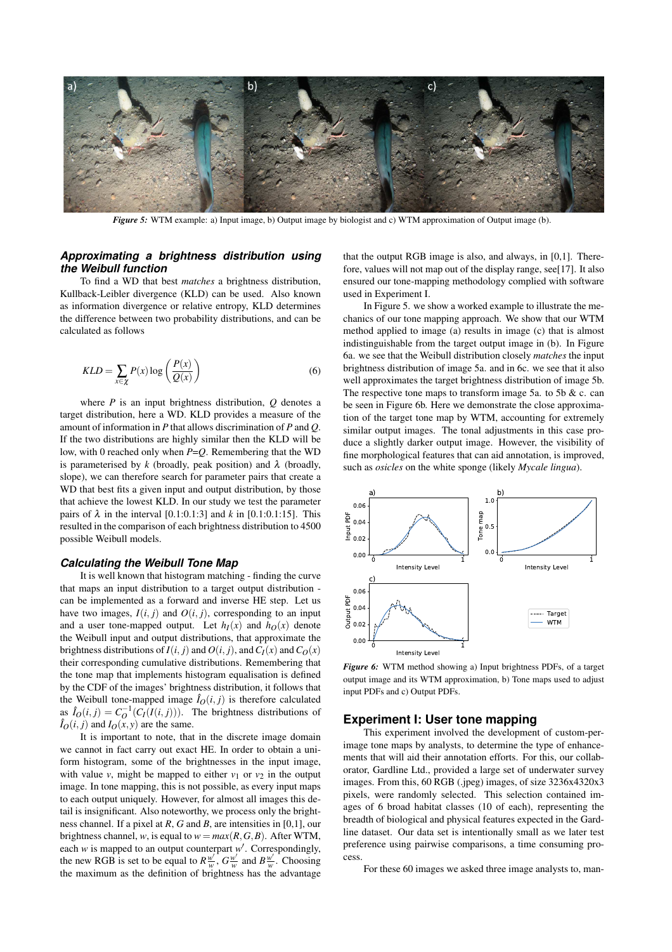

*Figure 5:* WTM example: a) Input image, b) Output image by biologist and c) WTM approximation of Output image (b).

## *Approximating a brightness distribution using the Weibull function*

To find a WD that best *matches* a brightness distribution, Kullback-Leibler divergence (KLD) can be used. Also known as information divergence or relative entropy, KLD determines the difference between two probability distributions, and can be calculated as follows

$$
KLD = \sum_{x \in \chi} P(x) \log \left( \frac{P(x)}{Q(x)} \right) \tag{6}
$$

where *P* is an input brightness distribution, *Q* denotes a target distribution, here a WD. KLD provides a measure of the amount of information in *P* that allows discrimination of *P* and *Q*. If the two distributions are highly similar then the KLD will be low, with 0 reached only when *P*=*Q*. Remembering that the WD is parameterised by  $k$  (broadly, peak position) and  $\lambda$  (broadly, slope), we can therefore search for parameter pairs that create a WD that best fits a given input and output distribution, by those that achieve the lowest KLD. In our study we test the parameter pairs of  $\lambda$  in the interval [0.1:0.1:3] and  $k$  in [0.1:0.1:15]. This resulted in the comparison of each brightness distribution to 4500 possible Weibull models.

## *Calculating the Weibull Tone Map*

It is well known that histogram matching - finding the curve that maps an input distribution to a target output distribution can be implemented as a forward and inverse HE step. Let us have two images,  $I(i, j)$  and  $O(i, j)$ , corresponding to an input and a user tone-mapped output. Let  $h_I(x)$  and  $h_O(x)$  denote the Weibull input and output distributions, that approximate the brightness distributions of  $I(i, j)$  and  $O(i, j)$ , and  $C_I(x)$  and  $C_O(x)$ their corresponding cumulative distributions. Remembering that the tone map that implements histogram equalisation is defined by the CDF of the images' brightness distribution, it follows that the Weibull tone-mapped image  $\hat{I}_O(i, j)$  is therefore calculated as  $\hat{I}_O(i, j) = C_O^{-1}(C_I(I(i, j))).$  The brightness distributions of  $\hat{I}_O(i, j)$  and  $I_O(x, y)$  are the same.

It is important to note, that in the discrete image domain we cannot in fact carry out exact HE. In order to obtain a uniform histogram, some of the brightnesses in the input image, with value *v*, might be mapped to either  $v_1$  or  $v_2$  in the output image. In tone mapping, this is not possible, as every input maps to each output uniquely. However, for almost all images this detail is insignificant. Also noteworthy, we process only the brightness channel. If a pixel at *R*, *G* and *B*, are intensities in [0,1], our brightness channel, *w*, is equal to  $w = max(R, G, B)$ . After WTM, each *w* is mapped to an output counterpart *w* ′ . Correspondingly, the new RGB is set to be equal to  $R \frac{w'}{w}$ ,  $G \frac{w'}{w}$  and  $B \frac{w'}{w}$ . Choosing the maximum as the definition of brightness has the advantage

that the output RGB image is also, and always, in [0,1]. Therefore, values will not map out of the display range, see[17]. It also ensured our tone-mapping methodology complied with software used in Experiment I.

In Figure 5. we show a worked example to illustrate the mechanics of our tone mapping approach. We show that our WTM method applied to image (a) results in image (c) that is almost indistinguishable from the target output image in (b). In Figure 6a. we see that the Weibull distribution closely *matches* the input brightness distribution of image 5a. and in 6c. we see that it also well approximates the target brightness distribution of image 5b. The respective tone maps to transform image 5a. to 5b  $&$  c. can be seen in Figure 6b. Here we demonstrate the close approximation of the target tone map by WTM, accounting for extremely similar output images. The tonal adjustments in this case produce a slightly darker output image. However, the visibility of fine morphological features that can aid annotation, is improved, such as *osicles* on the white sponge (likely *Mycale lingua*).



*Figure 6:* WTM method showing a) Input brightness PDFs, of a target output image and its WTM approximation, b) Tone maps used to adjust input PDFs and c) Output PDFs.

#### **Experiment I: User tone mapping**

This experiment involved the development of custom-perimage tone maps by analysts, to determine the type of enhancements that will aid their annotation efforts. For this, our collaborator, Gardline Ltd., provided a large set of underwater survey images. From this, 60 RGB (.jpeg) images, of size 3236x4320x3 pixels, were randomly selected. This selection contained images of 6 broad habitat classes (10 of each), representing the breadth of biological and physical features expected in the Gardline dataset. Our data set is intentionally small as we later test preference using pairwise comparisons, a time consuming process.

For these 60 images we asked three image analysts to, man-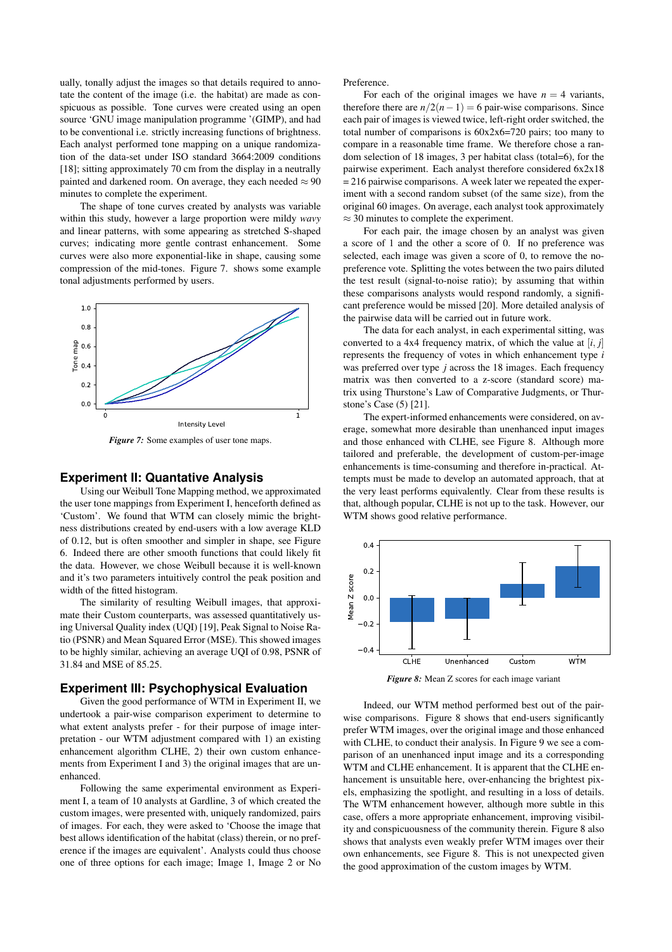ually, tonally adjust the images so that details required to annotate the content of the image (i.e. the habitat) are made as conspicuous as possible. Tone curves were created using an open source 'GNU image manipulation programme '(GIMP), and had to be conventional i.e. strictly increasing functions of brightness. Each analyst performed tone mapping on a unique randomization of the data-set under ISO standard 3664:2009 conditions [18]; sitting approximately 70 cm from the display in a neutrally painted and darkened room. On average, they each needed  $\approx 90$ minutes to complete the experiment.

The shape of tone curves created by analysts was variable within this study, however a large proportion were mildy *wavy* and linear patterns, with some appearing as stretched S-shaped curves; indicating more gentle contrast enhancement. Some curves were also more exponential-like in shape, causing some compression of the mid-tones. Figure 7. shows some example tonal adjustments performed by users.



*Figure 7:* Some examples of user tone maps.

# **Experiment II: Quantative Analysis**

Using our Weibull Tone Mapping method, we approximated the user tone mappings from Experiment I, henceforth defined as 'Custom'. We found that WTM can closely mimic the brightness distributions created by end-users with a low average KLD of 0.12, but is often smoother and simpler in shape, see Figure 6. Indeed there are other smooth functions that could likely fit the data. However, we chose Weibull because it is well-known and it's two parameters intuitively control the peak position and width of the fitted histogram.

The similarity of resulting Weibull images, that approximate their Custom counterparts, was assessed quantitatively using Universal Quality index (UQI) [19], Peak Signal to Noise Ratio (PSNR) and Mean Squared Error (MSE). This showed images to be highly similar, achieving an average UQI of 0.98, PSNR of 31.84 and MSE of 85.25.

# **Experiment III: Psychophysical Evaluation**

Given the good performance of WTM in Experiment II, we undertook a pair-wise comparison experiment to determine to what extent analysts prefer - for their purpose of image interpretation - our WTM adjustment compared with 1) an existing enhancement algorithm CLHE, 2) their own custom enhancements from Experiment I and 3) the original images that are unenhanced.

Following the same experimental environment as Experiment I, a team of 10 analysts at Gardline, 3 of which created the custom images, were presented with, uniquely randomized, pairs of images. For each, they were asked to 'Choose the image that best allows identification of the habitat (class) therein, or no preference if the images are equivalent'. Analysts could thus choose one of three options for each image; Image 1, Image 2 or No Preference.

For each of the original images we have  $n = 4$  variants, therefore there are  $n/2(n-1) = 6$  pair-wise comparisons. Since each pair of images is viewed twice, left-right order switched, the total number of comparisons is 60x2x6=720 pairs; too many to compare in a reasonable time frame. We therefore chose a random selection of 18 images, 3 per habitat class (total=6), for the pairwise experiment. Each analyst therefore considered 6x2x18 = 216 pairwise comparisons. A week later we repeated the experiment with a second random subset (of the same size), from the original 60 images. On average, each analyst took approximately  $\approx$  30 minutes to complete the experiment.

For each pair, the image chosen by an analyst was given a score of 1 and the other a score of 0. If no preference was selected, each image was given a score of 0, to remove the nopreference vote. Splitting the votes between the two pairs diluted the test result (signal-to-noise ratio); by assuming that within these comparisons analysts would respond randomly, a significant preference would be missed [20]. More detailed analysis of the pairwise data will be carried out in future work.

The data for each analyst, in each experimental sitting, was converted to a 4x4 frequency matrix, of which the value at [*i*, *j*] represents the frequency of votes in which enhancement type *i* was preferred over type *j* across the 18 images. Each frequency matrix was then converted to a z-score (standard score) matrix using Thurstone's Law of Comparative Judgments, or Thurstone's Case (5) [21].

The expert-informed enhancements were considered, on average, somewhat more desirable than unenhanced input images and those enhanced with CLHE, see Figure 8. Although more tailored and preferable, the development of custom-per-image enhancements is time-consuming and therefore in-practical. Attempts must be made to develop an automated approach, that at the very least performs equivalently. Clear from these results is that, although popular, CLHE is not up to the task. However, our WTM shows good relative performance.



*Figure 8:* Mean Z scores for each image variant

Indeed, our WTM method performed best out of the pairwise comparisons. Figure 8 shows that end-users significantly prefer WTM images, over the original image and those enhanced with CLHE, to conduct their analysis. In Figure 9 we see a comparison of an unenhanced input image and its a corresponding WTM and CLHE enhancement. It is apparent that the CLHE enhancement is unsuitable here, over-enhancing the brightest pixels, emphasizing the spotlight, and resulting in a loss of details. The WTM enhancement however, although more subtle in this case, offers a more appropriate enhancement, improving visibility and conspicuousness of the community therein. Figure 8 also shows that analysts even weakly prefer WTM images over their own enhancements, see Figure 8. This is not unexpected given the good approximation of the custom images by WTM.